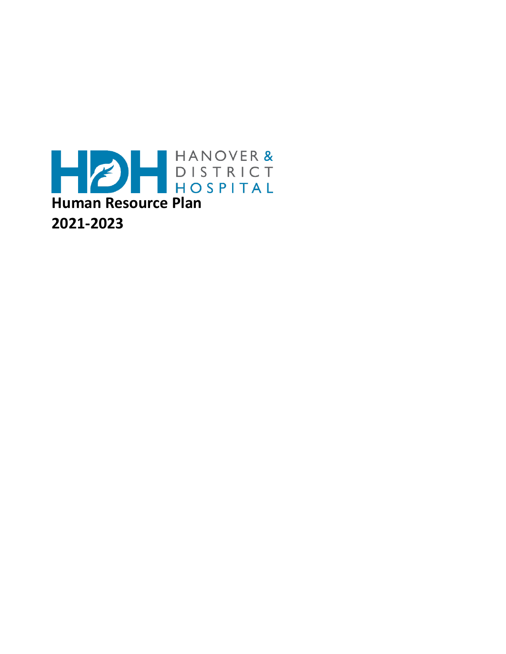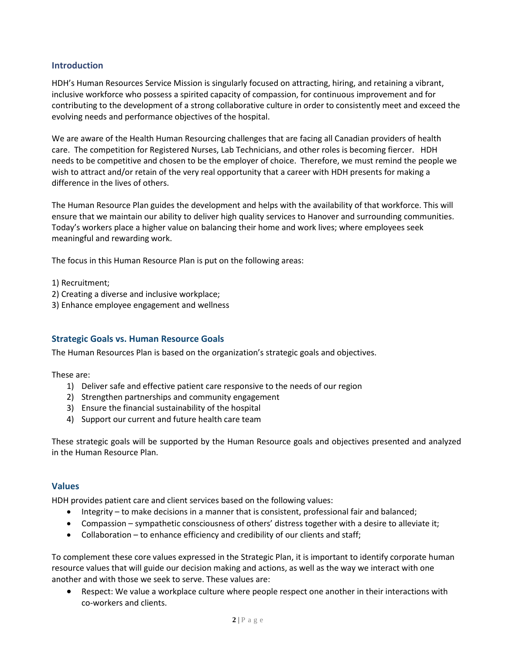#### **Introduction**

HDH's Human Resources Service Mission is singularly focused on attracting, hiring, and retaining a vibrant, inclusive workforce who possess a spirited capacity of compassion, for continuous improvement and for contributing to the development of a strong collaborative culture in order to consistently meet and exceed the evolving needs and performance objectives of the hospital.

We are aware of the Health Human Resourcing challenges that are facing all Canadian providers of health care. The competition for Registered Nurses, Lab Technicians, and other roles is becoming fiercer. HDH needs to be competitive and chosen to be the employer of choice. Therefore, we must remind the people we wish to attract and/or retain of the very real opportunity that a career with HDH presents for making a difference in the lives of others.

The Human Resource Plan guides the development and helps with the availability of that workforce. This will ensure that we maintain our ability to deliver high quality services to Hanover and surrounding communities. Today's workers place a higher value on balancing their home and work lives; where employees seek meaningful and rewarding work.

The focus in this Human Resource Plan is put on the following areas:

1) Recruitment;

- 2) Creating a diverse and inclusive workplace;
- 3) Enhance employee engagement and wellness

### **Strategic Goals vs. Human Resource Goals**

The Human Resources Plan is based on the organization's strategic goals and objectives.

These are:

- 1) Deliver safe and effective patient care responsive to the needs of our region
- 2) Strengthen partnerships and community engagement
- 3) Ensure the financial sustainability of the hospital
- 4) Support our current and future health care team

These strategic goals will be supported by the Human Resource goals and objectives presented and analyzed in the Human Resource Plan.

#### **Values**

HDH provides patient care and client services based on the following values:

- Integrity to make decisions in a manner that is consistent, professional fair and balanced;
- Compassion sympathetic consciousness of others' distress together with a desire to alleviate it;
- Collaboration to enhance efficiency and credibility of our clients and staff;

To complement these core values expressed in the Strategic Plan, it is important to identify corporate human resource values that will guide our decision making and actions, as well as the way we interact with one another and with those we seek to serve. These values are:

 Respect: We value a workplace culture where people respect one another in their interactions with co-workers and clients.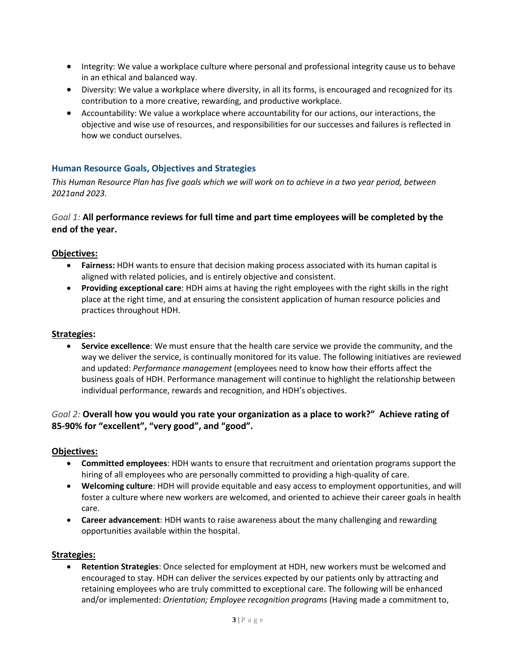- Integrity: We value a workplace culture where personal and professional integrity cause us to behave in an ethical and balanced way.
- Diversity: We value a workplace where diversity, in all its forms, is encouraged and recognized for its contribution to a more creative, rewarding, and productive workplace.
- Accountability: We value a workplace where accountability for our actions, our interactions, the objective and wise use of resources, and responsibilities for our successes and failures is reflected in how we conduct ourselves.

# **Human Resource Goals, Objectives and Strategies**

*This Human Resource Plan has five goals which we will work on to achieve in a two year period, between 2021and 2023.*

### *Goal 1:* **All performance reviews for full time and part time employees will be completed by the end of the year.**

#### **Objectives:**

- **Fairness:** HDH wants to ensure that decision making process associated with its human capital is aligned with related policies, and is entirely objective and consistent.
- **Providing exceptional care**: HDH aims at having the right employees with the right skills in the right place at the right time, and at ensuring the consistent application of human resource policies and practices throughout HDH.

#### **Strategies:**

 **Service excellence**: We must ensure that the health care service we provide the community, and the way we deliver the service, is continually monitored for its value. The following initiatives are reviewed and updated: *Performance management* (employees need to know how their efforts affect the business goals of HDH. Performance management will continue to highlight the relationship between individual performance, rewards and recognition, and HDH's objectives.

# *Goal 2:* **Overall how you would you rate your organization as a place to work?" Achieve rating of 85-90% for "excellent", "very good", and "good".**

#### **Objectives:**

- **Committed employees**: HDH wants to ensure that recruitment and orientation programs support the hiring of all employees who are personally committed to providing a high-quality of care.
- **Welcoming culture**: HDH will provide equitable and easy access to employment opportunities, and will foster a culture where new workers are welcomed, and oriented to achieve their career goals in health care.
- **Career advancement**: HDH wants to raise awareness about the many challenging and rewarding opportunities available within the hospital.

#### **Strategies:**

 **Retention Strategies**: Once selected for employment at HDH, new workers must be welcomed and encouraged to stay. HDH can deliver the services expected by our patients only by attracting and retaining employees who are truly committed to exceptional care. The following will be enhanced and/or implemented: *Orientation; Employee recognition programs* (Having made a commitment to,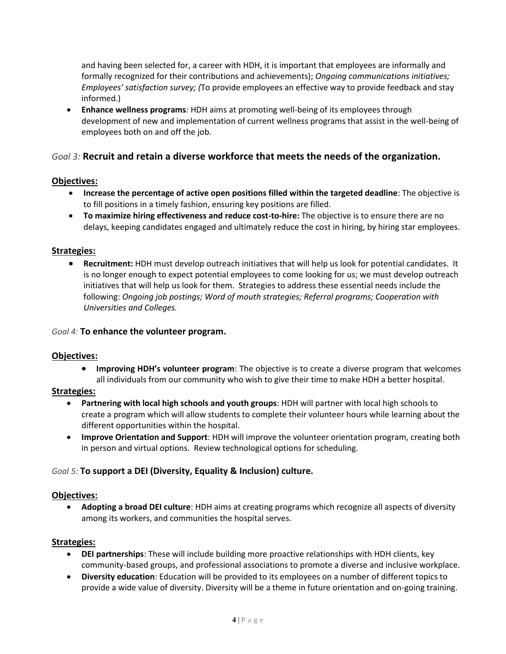and having been selected for, a career with HDH, it is important that employees are informally and formally recognized for their contributions and achievements); *Ongoing communications initiatives; Employees' satisfaction survey; (*To provide employees an effective way to provide feedback and stay informed.)

 **Enhance wellness programs***:* HDH aims at promoting well-being of its employees through development of new and implementation of current wellness programs that assist in the well-being of employees both on and off the job.

# *Goal 3:* **Recruit and retain a diverse workforce that meets the needs of the organization.**

# **Objectives:**

- **Increase the percentage of active open positions filled within the targeted deadline**: The objective is to fill positions in a timely fashion, ensuring key positions are filled.
- **To maximize hiring effectiveness and reduce cost-to-hire:** The objective is to ensure there are no delays, keeping candidates engaged and ultimately reduce the cost in hiring, by hiring star employees.

# **Strategies:**

 **Recruitment:** HDH must develop outreach initiatives that will help us look for potential candidates. It is no longer enough to expect potential employees to come looking for us; we must develop outreach initiatives that will help us look for them. Strategies to address these essential needs include the following: *Ongoing job postings; Word of mouth strategies; Referral programs; Cooperation with Universities and Colleges.*

### *Goal 4:* **To enhance the volunteer program.**

### **Objectives:**

 **Improving HDH's volunteer program**: The objective is to create a diverse program that welcomes all individuals from our community who wish to give their time to make HDH a better hospital.

### **Strategies:**

- **Partnering with local high schools and youth groups**: HDH will partner with local high schools to create a program which will allow students to complete their volunteer hours while learning about the different opportunities within the hospital.
- **Improve Orientation and Support**: HDH will improve the volunteer orientation program, creating both in person and virtual options. Review technological options for scheduling.

# *Goal 5:* **To support a DEI (Diversity, Equality & Inclusion) culture.**

### **Objectives:**

 **Adopting a broad DEI culture**: HDH aims at creating programs which recognize all aspects of diversity among its workers, and communities the hospital serves.

# **Strategies:**

- **DEI partnerships**: These will include building more proactive relationships with HDH clients, key community-based groups, and professional associations to promote a diverse and inclusive workplace.
- **Diversity education**: Education will be provided to its employees on a number of different topics to provide a wide value of diversity. Diversity will be a theme in future orientation and on-going training.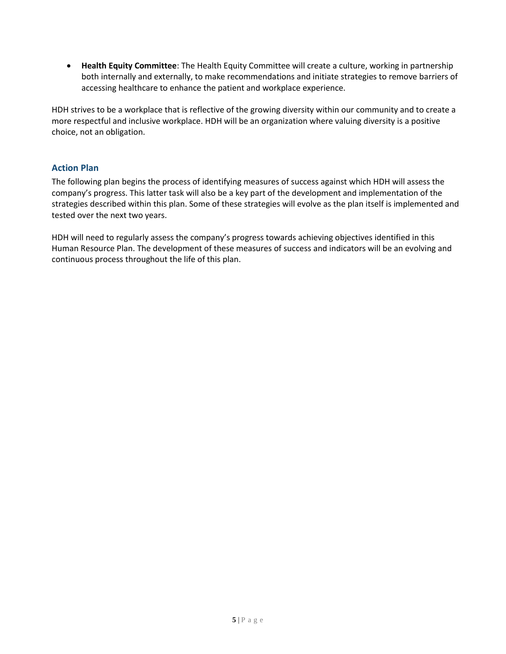**Health Equity Committee**: The Health Equity Committee will create a culture, working in partnership both internally and externally, to make recommendations and initiate strategies to remove barriers of accessing healthcare to enhance the patient and workplace experience.

HDH strives to be a workplace that is reflective of the growing diversity within our community and to create a more respectful and inclusive workplace. HDH will be an organization where valuing diversity is a positive choice, not an obligation.

# **Action Plan**

The following plan begins the process of identifying measures of success against which HDH will assess the company's progress. This latter task will also be a key part of the development and implementation of the strategies described within this plan. Some of these strategies will evolve as the plan itself is implemented and tested over the next two years.

HDH will need to regularly assess the company's progress towards achieving objectives identified in this Human Resource Plan. The development of these measures of success and indicators will be an evolving and continuous process throughout the life of this plan.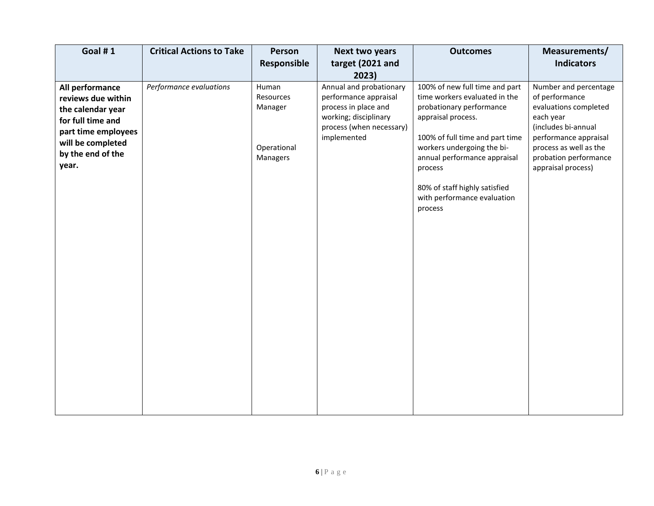| Goal #1                                                                                                                                                   | <b>Critical Actions to Take</b> | Person<br>Responsible                                    | <b>Next two years</b><br>target (2021 and<br>2023)                                                                                           | <b>Outcomes</b>                                                                                                                                                                                                                                                                                          | Measurements/<br><b>Indicators</b>                                                                                                                                                                     |
|-----------------------------------------------------------------------------------------------------------------------------------------------------------|---------------------------------|----------------------------------------------------------|----------------------------------------------------------------------------------------------------------------------------------------------|----------------------------------------------------------------------------------------------------------------------------------------------------------------------------------------------------------------------------------------------------------------------------------------------------------|--------------------------------------------------------------------------------------------------------------------------------------------------------------------------------------------------------|
| All performance<br>reviews due within<br>the calendar year<br>for full time and<br>part time employees<br>will be completed<br>by the end of the<br>year. | Performance evaluations         | Human<br>Resources<br>Manager<br>Operational<br>Managers | Annual and probationary<br>performance appraisal<br>process in place and<br>working; disciplinary<br>process (when necessary)<br>implemented | 100% of new full time and part<br>time workers evaluated in the<br>probationary performance<br>appraisal process.<br>100% of full time and part time<br>workers undergoing the bi-<br>annual performance appraisal<br>process<br>80% of staff highly satisfied<br>with performance evaluation<br>process | Number and percentage<br>of performance<br>evaluations completed<br>each year<br>(includes bi-annual<br>performance appraisal<br>process as well as the<br>probation performance<br>appraisal process) |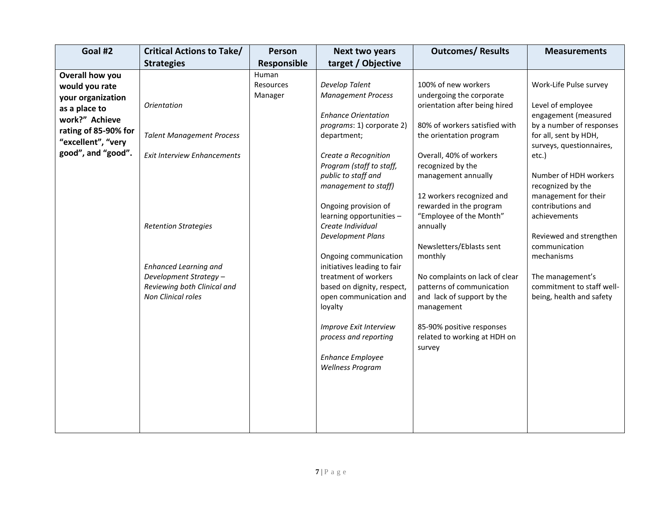| <b>Critical Actions to Take/</b>                                                                                                                                                                                                           | Person                        | Next two years                                                                                                                                                                                                                                                                                                                                                                                                                                                                                                                                                                     | <b>Outcomes/ Results</b>                                                                                                                                                                                                                                                                                                                                                                                                                                                                                                                    | <b>Measurements</b>                                                                                                                                                                                                                                                                                                                                                                                             |
|--------------------------------------------------------------------------------------------------------------------------------------------------------------------------------------------------------------------------------------------|-------------------------------|------------------------------------------------------------------------------------------------------------------------------------------------------------------------------------------------------------------------------------------------------------------------------------------------------------------------------------------------------------------------------------------------------------------------------------------------------------------------------------------------------------------------------------------------------------------------------------|---------------------------------------------------------------------------------------------------------------------------------------------------------------------------------------------------------------------------------------------------------------------------------------------------------------------------------------------------------------------------------------------------------------------------------------------------------------------------------------------------------------------------------------------|-----------------------------------------------------------------------------------------------------------------------------------------------------------------------------------------------------------------------------------------------------------------------------------------------------------------------------------------------------------------------------------------------------------------|
| <b>Strategies</b>                                                                                                                                                                                                                          | Responsible                   | target / Objective                                                                                                                                                                                                                                                                                                                                                                                                                                                                                                                                                                 |                                                                                                                                                                                                                                                                                                                                                                                                                                                                                                                                             |                                                                                                                                                                                                                                                                                                                                                                                                                 |
| <b>Orientation</b><br><b>Talent Management Process</b><br><b>Exit Interview Enhancements</b><br><b>Retention Strategies</b><br><b>Enhanced Learning and</b><br>Development Strategy -<br>Reviewing both Clinical and<br>Non Clinical roles | Human<br>Resources<br>Manager | Develop Talent<br><b>Management Process</b><br><b>Enhance Orientation</b><br>programs: 1) corporate 2)<br>department;<br>Create a Recognition<br>Program (staff to staff,<br>public to staff and<br>management to staff)<br>Ongoing provision of<br>learning opportunities -<br>Create Individual<br>Development Plans<br>Ongoing communication<br>initiatives leading to fair<br>treatment of workers<br>based on dignity, respect,<br>open communication and<br>loyalty<br>Improve Exit Interview<br>process and reporting<br><b>Enhance Employee</b><br><b>Wellness Program</b> | 100% of new workers<br>undergoing the corporate<br>orientation after being hired<br>80% of workers satisfied with<br>the orientation program<br>Overall, 40% of workers<br>recognized by the<br>management annually<br>12 workers recognized and<br>rewarded in the program<br>"Employee of the Month"<br>annually<br>Newsletters/Eblasts sent<br>monthly<br>No complaints on lack of clear<br>patterns of communication<br>and lack of support by the<br>management<br>85-90% positive responses<br>related to working at HDH on<br>survey | Work-Life Pulse survey<br>Level of employee<br>engagement (measured<br>by a number of responses<br>for all, sent by HDH,<br>surveys, questionnaires,<br>etc.)<br>Number of HDH workers<br>recognized by the<br>management for their<br>contributions and<br>achievements<br>Reviewed and strengthen<br>communication<br>mechanisms<br>The management's<br>commitment to staff well-<br>being, health and safety |
|                                                                                                                                                                                                                                            |                               |                                                                                                                                                                                                                                                                                                                                                                                                                                                                                                                                                                                    |                                                                                                                                                                                                                                                                                                                                                                                                                                                                                                                                             |                                                                                                                                                                                                                                                                                                                                                                                                                 |
|                                                                                                                                                                                                                                            |                               |                                                                                                                                                                                                                                                                                                                                                                                                                                                                                                                                                                                    |                                                                                                                                                                                                                                                                                                                                                                                                                                                                                                                                             |                                                                                                                                                                                                                                                                                                                                                                                                                 |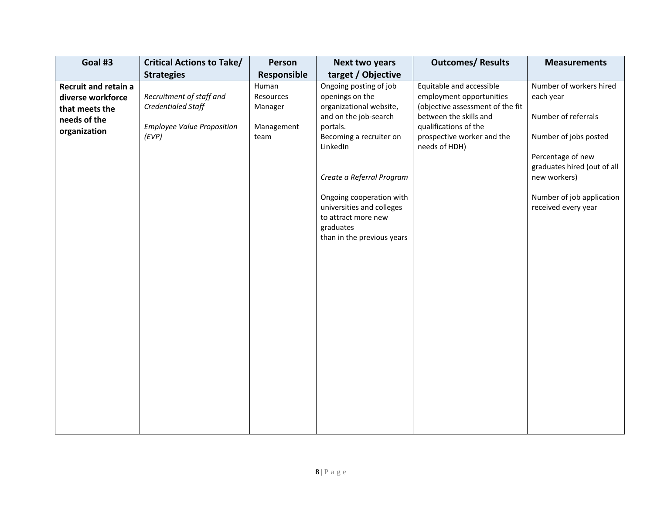| Goal #3                                                            | <b>Critical Actions to Take/</b>               | Person                        | Next two years                                                                                                                                                                                                                   | <b>Outcomes/ Results</b>                                                                       | <b>Measurements</b>                                                                                                                                                  |
|--------------------------------------------------------------------|------------------------------------------------|-------------------------------|----------------------------------------------------------------------------------------------------------------------------------------------------------------------------------------------------------------------------------|------------------------------------------------------------------------------------------------|----------------------------------------------------------------------------------------------------------------------------------------------------------------------|
|                                                                    | <b>Strategies</b>                              | Responsible                   | target / Objective                                                                                                                                                                                                               |                                                                                                |                                                                                                                                                                      |
| <b>Recruit and retain a</b><br>diverse workforce<br>that meets the | Recruitment of staff and<br>Credentialed Staff | Human<br>Resources<br>Manager | Ongoing posting of job<br>openings on the<br>organizational website,                                                                                                                                                             | Equitable and accessible<br>employment opportunities<br>(objective assessment of the fit       | Number of workers hired<br>each year                                                                                                                                 |
| needs of the<br>organization                                       | <b>Employee Value Proposition</b><br>(EVP)     | Management<br>team            | and on the job-search<br>portals.<br>Becoming a recruiter on<br>LinkedIn<br>Create a Referral Program<br>Ongoing cooperation with<br>universities and colleges<br>to attract more new<br>graduates<br>than in the previous years | between the skills and<br>qualifications of the<br>prospective worker and the<br>needs of HDH) | Number of referrals<br>Number of jobs posted<br>Percentage of new<br>graduates hired (out of all<br>new workers)<br>Number of job application<br>received every year |
|                                                                    |                                                |                               |                                                                                                                                                                                                                                  |                                                                                                |                                                                                                                                                                      |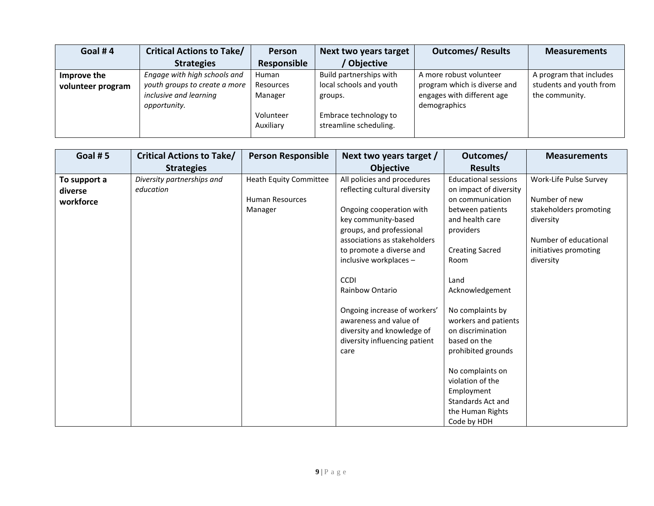| Goal #4           | <b>Critical Actions to Take/</b> | <b>Person</b> | Next two years target   | <b>Outcomes/ Results</b>     | <b>Measurements</b>     |
|-------------------|----------------------------------|---------------|-------------------------|------------------------------|-------------------------|
|                   | <b>Strategies</b>                | Responsible   | Objective               |                              |                         |
| Improve the       | Engage with high schools and     | Human         | Build partnerships with | A more robust volunteer      | A program that includes |
| volunteer program | youth groups to create a more    | Resources     | local schools and youth | program which is diverse and | students and youth from |
|                   | inclusive and learning           | Manager       | groups.                 | engages with different age   | the community.          |
|                   | opportunity.                     |               |                         | demographics                 |                         |
|                   |                                  | Volunteer     | Embrace technology to   |                              |                         |
|                   |                                  | Auxiliary     | streamline scheduling.  |                              |                         |
|                   |                                  |               |                         |                              |                         |

| Goal #5<br><b>Person Responsible</b><br><b>Critical Actions to Take/</b><br><b>Strategies</b>                                                                         | Next two years target /<br><b>Objective</b>                                                                                                                                                                                                                                                                                                                                   | Outcomes/<br><b>Results</b>                                                                                                                                                                                                                                                                                                                                                                                     | <b>Measurements</b>                                                                                                                           |
|-----------------------------------------------------------------------------------------------------------------------------------------------------------------------|-------------------------------------------------------------------------------------------------------------------------------------------------------------------------------------------------------------------------------------------------------------------------------------------------------------------------------------------------------------------------------|-----------------------------------------------------------------------------------------------------------------------------------------------------------------------------------------------------------------------------------------------------------------------------------------------------------------------------------------------------------------------------------------------------------------|-----------------------------------------------------------------------------------------------------------------------------------------------|
| Diversity partnerships and<br>Heath Equity Committee<br>To support a<br>education<br>diverse<br><b>Human Resources</b><br>workforce<br>Manager<br><b>CCDI</b><br>care | All policies and procedures<br>reflecting cultural diversity<br>Ongoing cooperation with<br>key community-based<br>groups, and professional<br>associations as stakeholders<br>to promote a diverse and<br>inclusive workplaces -<br>Rainbow Ontario<br>Ongoing increase of workers'<br>awareness and value of<br>diversity and knowledge of<br>diversity influencing patient | <b>Educational sessions</b><br>on impact of diversity<br>on communication<br>between patients<br>and health care<br>providers<br><b>Creating Sacred</b><br>Room<br>Land<br>Acknowledgement<br>No complaints by<br>workers and patients<br>on discrimination<br>based on the<br>prohibited grounds<br>No complaints on<br>violation of the<br>Employment<br>Standards Act and<br>the Human Rights<br>Code by HDH | Work-Life Pulse Survey<br>Number of new<br>stakeholders promoting<br>diversity<br>Number of educational<br>initiatives promoting<br>diversity |